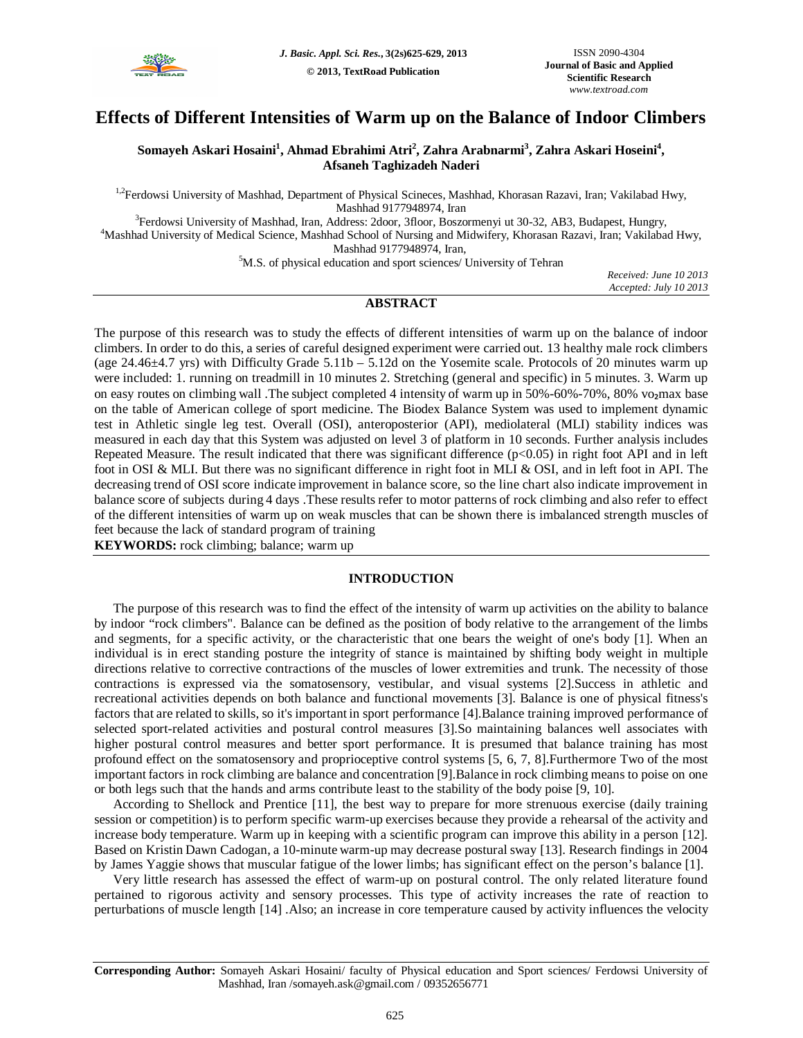

# **Effects of Different Intensities of Warm up on the Balance of Indoor Climbers**

## **Somayeh Askari Hosaini<sup>1</sup> , Ahmad Ebrahimi Atri<sup>2</sup> , Zahra Arabnarmi<sup>3</sup> , Zahra Askari Hoseini<sup>4</sup> , Afsaneh Taghizadeh Naderi**

<sup>1,2</sup>Ferdowsi University of Mashhad, Department of Physical Scineces, Mashhad, Khorasan Razavi, Iran; Vakilabad Hwy, Mashhad 9177948974, Iran

<sup>3</sup>Ferdowsi University of Mashhad, Iran, Address: 2door, 3floor, Boszormenyi ut 30-32, AB3, Budapest, Hungry, <sup>4</sup>Mashhad University of Medical Science, Mashhad School of Nursing and Midwifery, Khorasan Razavi, Iran; Vakilabad Hwy, Mashhad 9177948974, Iran,

<sup>5</sup>M.S. of physical education and sport sciences/ University of Tehran

*Received: June 10 2013 Accepted: July 10 2013*

## **ABSTRACT**

The purpose of this research was to study the effects of different intensities of warm up on the balance of indoor climbers. In order to do this, a series of careful designed experiment were carried out. 13 healthy male rock climbers (age 24.46±4.7 yrs) with Difficulty Grade 5.11b – 5.12d on the Yosemite scale. Protocols of 20 minutes warm up were included: 1. running on treadmill in 10 minutes 2. Stretching (general and specific) in 5 minutes. 3. Warm up on easy routes on climbing wall .The subject completed 4 intensity of warm up in 50%-60%-70%, 80% vo<sub>2</sub>max base on the table of American college of sport medicine. The Biodex Balance System was used to implement dynamic test in Athletic single leg test. Overall (OSI), anteroposterior (API), mediolateral (MLI) stability indices was measured in each day that this System was adjusted on level 3 of platform in 10 seconds. Further analysis includes Repeated Measure. The result indicated that there was significant difference (p<0.05) in right foot API and in left foot in OSI & MLI. But there was no significant difference in right foot in MLI & OSI, and in left foot in API. The decreasing trend of OSI score indicate improvement in balance score, so the line chart also indicate improvement in balance score of subjects during 4 days .These results refer to motor patterns of rock climbing and also refer to effect of the different intensities of warm up on weak muscles that can be shown there is imbalanced strength muscles of feet because the lack of standard program of training

**KEYWORDS:** rock climbing; balance; warm up

## **INTRODUCTION**

The purpose of this research was to find the effect of the intensity of warm up activities on the ability to balance by indoor "rock climbers". Balance can be defined as the position of body relative to the arrangement of the limbs and segments, for a specific activity, or the characteristic that one bears the weight of one's body [1]. When an individual is in erect standing posture the integrity of stance is maintained by shifting body weight in multiple directions relative to corrective contractions of the muscles of lower extremities and trunk. The necessity of those contractions is expressed via the somatosensory, vestibular, and visual systems [2].Success in athletic and recreational activities depends on both balance and functional movements [3]. Balance is one of physical fitness's factors that are related to skills, so it's important in sport performance [4].Balance training improved performance of selected sport-related activities and postural control measures [3].So maintaining balances well associates with higher postural control measures and better sport performance. It is presumed that balance training has most profound effect on the somatosensory and proprioceptive control systems [5, 6, 7, 8].Furthermore Two of the most important factors in rock climbing are balance and concentration [9].Balance in rock climbing means to poise on one or both legs such that the hands and arms contribute least to the stability of the body poise [9, 10].

According to Shellock and Prentice [11], the best way to prepare for more strenuous exercise (daily training session or competition) is to perform specific warm-up exercises because they provide a rehearsal of the activity and increase body temperature. Warm up in keeping with a scientific program can improve this ability in a person [12]. Based on Kristin Dawn Cadogan, a 10-minute warm-up may decrease postural sway [13]. Research findings in 2004 by James Yaggie shows that muscular fatigue of the lower limbs; has significant effect on the person's balance [1].

Very little research has assessed the effect of warm-up on postural control. The only related literature found pertained to rigorous activity and sensory processes. This type of activity increases the rate of reaction to perturbations of muscle length [14] .Also; an increase in core temperature caused by activity influences the velocity

**Corresponding Author:** Somayeh Askari Hosaini/ faculty of Physical education and Sport sciences/ Ferdowsi University of Mashhad, Iran /somayeh.ask@gmail.com / 09352656771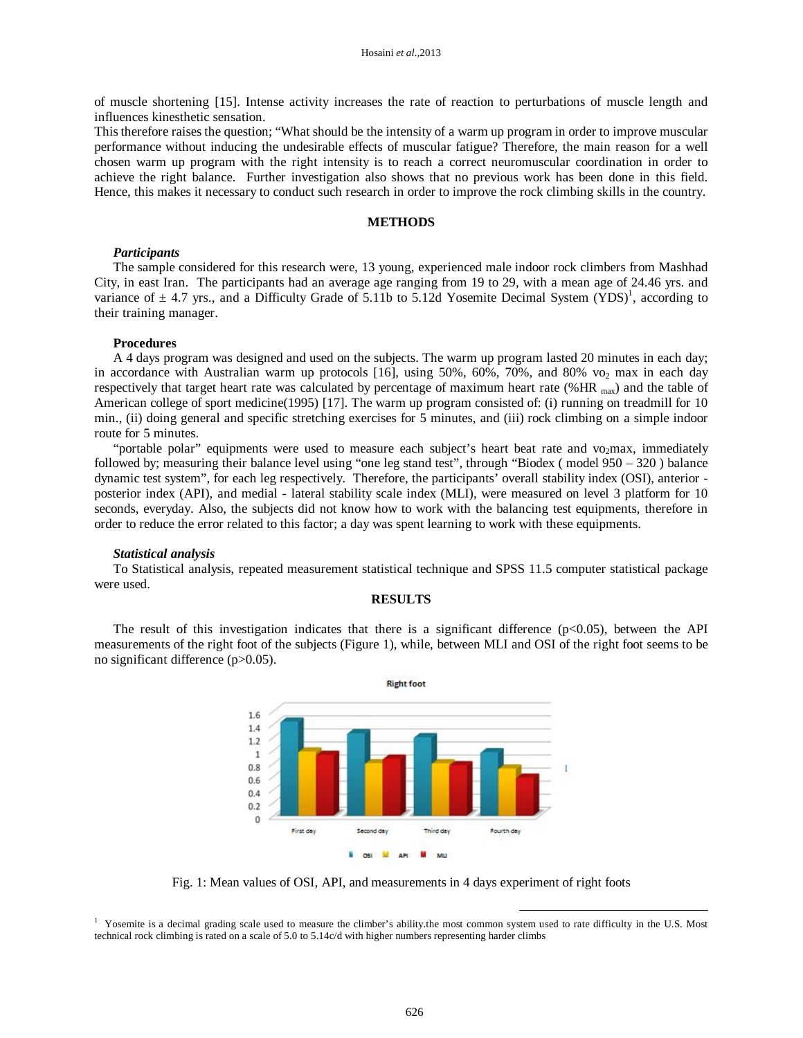of muscle shortening [15]. Intense activity increases the rate of reaction to perturbations of muscle length and influences kinesthetic sensation.

This therefore raises the question; "What should be the intensity of a warm up program in order to improve muscular performance without inducing the undesirable effects of muscular fatigue? Therefore, the main reason for a well chosen warm up program with the right intensity is to reach a correct neuromuscular coordination in order to achieve the right balance. Further investigation also shows that no previous work has been done in this field. Hence, this makes it necessary to conduct such research in order to improve the rock climbing skills in the country.

## **METHODS**

## *Participants*

The sample considered for this research were, 13 young, experienced male indoor rock climbers from Mashhad City, in east Iran. The participants had an average age ranging from 19 to 29, with a mean age of 24.46 yrs. and variance of  $\pm$  4.7 yrs., and a Difficulty Grade of 5.11b to 5.12d Yosemite Decimal System (YDS)<sup>1</sup>, according to their training manager.

#### **Procedures**

A 4 days program was designed and used on the subjects. The warm up program lasted 20 minutes in each day; in accordance with Australian warm up protocols [16], using 50%, 60%, 70%, and 80% vo<sub>2</sub> max in each day respectively that target heart rate was calculated by percentage of maximum heart rate (%HR max) and the table of American college of sport medicine(1995) [17]. The warm up program consisted of: (i) running on treadmill for 10 min., (ii) doing general and specific stretching exercises for 5 minutes, and (iii) rock climbing on a simple indoor route for 5 minutes.

"portable polar" equipments were used to measure each subject's heart beat rate and vo<sub>2</sub>max, immediately followed by; measuring their balance level using "one leg stand test", through "Biodex ( model 950 – 320 ) balance dynamic test system", for each leg respectively. Therefore, the participants' overall stability index (OSI), anterior posterior index (API), and medial - lateral stability scale index (MLI), were measured on level 3 platform for 10 seconds, everyday. Also, the subjects did not know how to work with the balancing test equipments, therefore in order to reduce the error related to this factor; a day was spent learning to work with these equipments.

#### *Statistical analysis*

To Statistical analysis, repeated measurement statistical technique and SPSS 11.5 computer statistical package were used.

#### **RESULTS**

The result of this investigation indicates that there is a significant difference  $(p<0.05)$ , between the API measurements of the right foot of the subjects (Figure 1), while, between MLI and OSI of the right foot seems to be no significant difference (p>0.05).



Fig. 1: Mean values of OSI, API, and measurements in 4 days experiment of right foots

-

<sup>&</sup>lt;sup>1</sup> Yosemite is a decimal grading scale used to measure the climber's ability.the most common system used to rate difficulty in the U.S. Most technical rock climbing is rated on a scale of 5.0 to 5.14c/d with higher numbers representing harder climbs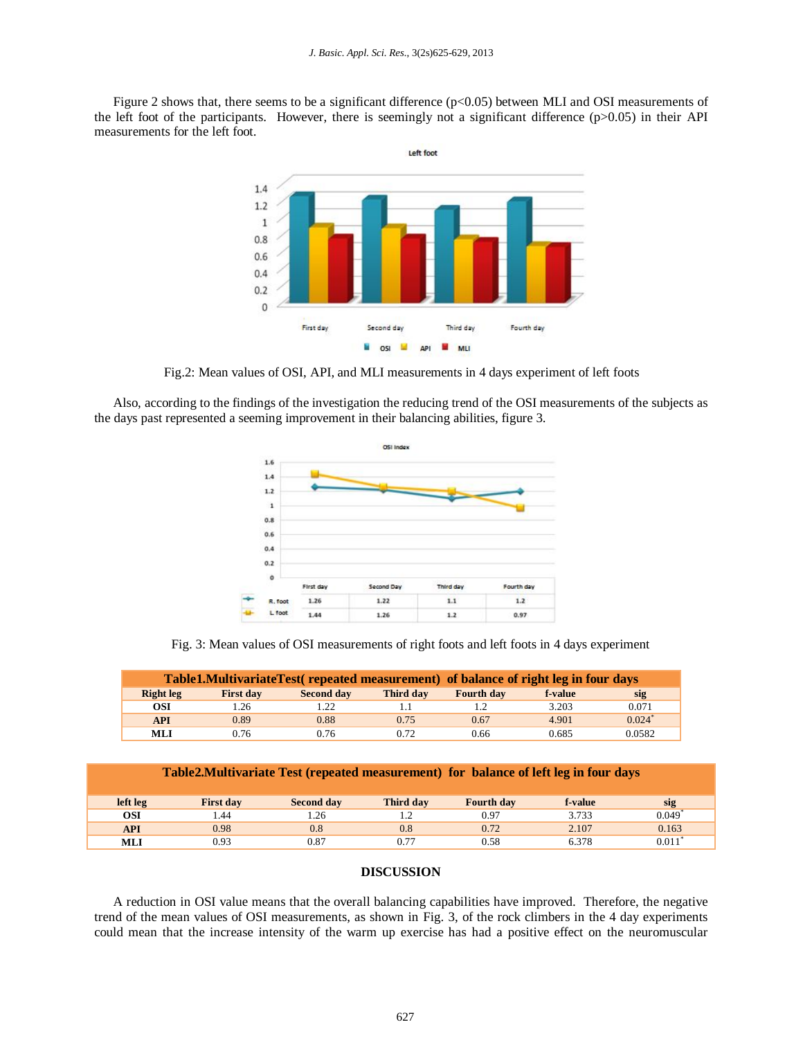Figure 2 shows that, there seems to be a significant difference (p<0.05) between MLI and OSI measurements of the left foot of the participants. However, there is seemingly not a significant difference (p>0.05) in their API measurements for the left foot.



Fig.2: Mean values of OSI, API, and MLI measurements in 4 days experiment of left foots

Also, according to the findings of the investigation the reducing trend of the OSI measurements of the subjects as the days past represented a seeming improvement in their balancing abilities, figure 3.



Fig. 3: Mean values of OSI measurements of right foots and left foots in 4 days experiment

| Table 1. Multivariate Test (repeated measurement) of balance of right leg in four days |                  |            |           |                   |         |                      |  |  |  |
|----------------------------------------------------------------------------------------|------------------|------------|-----------|-------------------|---------|----------------------|--|--|--|
| <b>Right leg</b>                                                                       | <b>First day</b> | Second day | Third day | <b>Fourth day</b> | f-value | sig                  |  |  |  |
| <b>OSI</b>                                                                             | .26              | .22        |           |                   | 3.203   | 0.071                |  |  |  |
| <b>API</b>                                                                             | 0.89             | 0.88       | 0.75      | 0.67              | 4.901   | $0.024$ <sup>*</sup> |  |  |  |
| <b>MLI</b>                                                                             | 0.76             | 0.76       | 0.72      | 0.66              | 0.685   | 0.0582               |  |  |  |

| Table 2. Multivariate Test (repeated measurement) for balance of left leg in four days |                  |                   |           |                   |         |                      |  |  |  |  |
|----------------------------------------------------------------------------------------|------------------|-------------------|-----------|-------------------|---------|----------------------|--|--|--|--|
| left leg                                                                               | <b>First day</b> | <b>Second day</b> | Third day | <b>Fourth day</b> | f-value | sig                  |  |  |  |  |
| OSI                                                                                    | .44              | 1.26              |           | 0.97              | 3.733   | 0.049                |  |  |  |  |
| <b>API</b>                                                                             | 0.98             | 0.8               | 0.8       | 0.72              | 2.107   | 0.163                |  |  |  |  |
| MLI                                                                                    | 0.93             | 0.87              | 0.77      | 0.58              | 6.378   | $0.011$ <sup>*</sup> |  |  |  |  |

## **DISCUSSION**

A reduction in OSI value means that the overall balancing capabilities have improved. Therefore, the negative trend of the mean values of OSI measurements, as shown in Fig. 3, of the rock climbers in the 4 day experiments could mean that the increase intensity of the warm up exercise has had a positive effect on the neuromuscular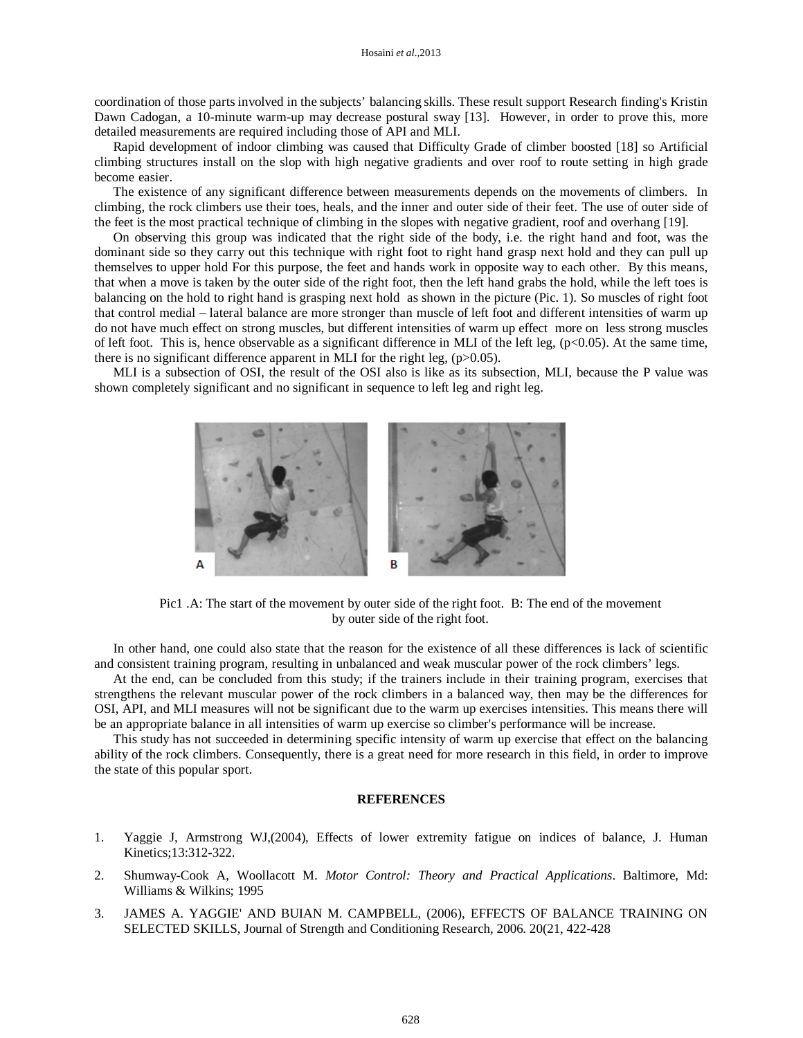coordination of those parts involved in the subjects' balancing skills. These result support Research finding's Kristin Dawn Cadogan, a 10-minute warm-up may decrease postural sway [13]. However, in order to prove this, more detailed measurements are required including those of API and MLI.

Rapid development of indoor climbing was caused that Difficulty Grade of climber boosted [18] so Artificial climbing structures install on the slop with high negative gradients and over roof to route setting in high grade become easier.

The existence of any significant difference between measurements depends on the movements of climbers. In climbing, the rock climbers use their toes, heals, and the inner and outer side of their feet. The use of outer side of the feet is the most practical technique of climbing in the slopes with negative gradient, roof and overhang [19].

On observing this group was indicated that the right side of the body, i.e. the right hand and foot, was the dominant side so they carry out this technique with right foot to right hand grasp next hold and they can pull up themselves to upper hold For this purpose, the feet and hands work in opposite way to each other. By this means, that when a move is taken by the outer side of the right foot, then the left hand grabs the hold, while the left toes is balancing on the hold to right hand is grasping next hold as shown in the picture (Pic. 1). So muscles of right foot that control medial – lateral balance are more stronger than muscle of left foot and different intensities of warm up do not have much effect on strong muscles, but different intensities of warm up effect more on less strong muscles of left foot. This is, hence observable as a significant difference in MLI of the left leg,  $(p<0.05)$ . At the same time, there is no significant difference apparent in MLI for the right leg,  $(p>0.05)$ .

MLI is a subsection of OSI, the result of the OSI also is like as its subsection, MLI, because the P value was shown completely significant and no significant in sequence to left leg and right leg.



Pic1 .A: The start of the movement by outer side of the right foot. B: The end of the movement by outer side of the right foot.

In other hand, one could also state that the reason for the existence of all these differences is lack of scientific and consistent training program, resulting in unbalanced and weak muscular power of the rock climbers' legs.

At the end, can be concluded from this study; if the trainers include in their training program, exercises that strengthens the relevant muscular power of the rock climbers in a balanced way, then may be the differences for OSI, API, and MLI measures will not be significant due to the warm up exercises intensities. This means there will be an appropriate balance in all intensities of warm up exercise so climber's performance will be increase.

This study has not succeeded in determining specific intensity of warm up exercise that effect on the balancing ability of the rock climbers. Consequently, there is a great need for more research in this field, in order to improve the state of this popular sport.

## **REFERENCES**

- 1. Yaggie J, Armstrong WJ,(2004), Effects of lower extremity fatigue on indices of balance, J. Human Kinetics;13:312-322.
- 2. Shumway-Cook A, Woollacott M. *Motor Control: Theory and Practical Applications*. Baltimore, Md: Williams & Wilkins; 1995
- 3. JAMES A. YAGGIE' AND BUIAN M. CAMPBELL, (2006), EFFECTS OF BALANCE TRAINING ON SELECTED SKILLS, Journal of Strength and Conditioning Research, 2006. 20(21, 422-428